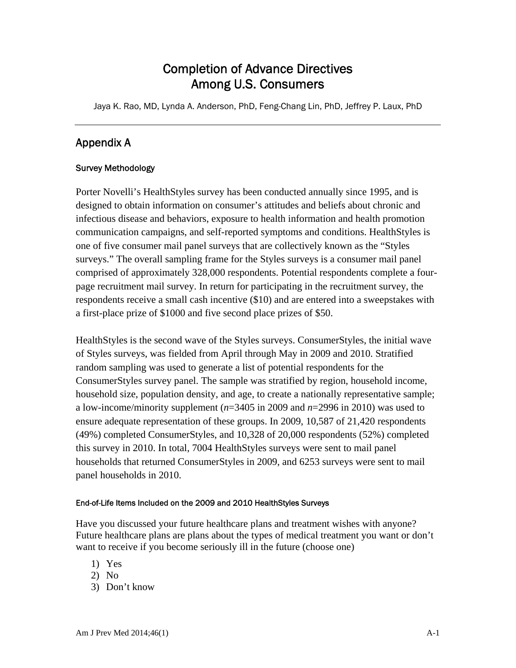## Completion of Advance Directives Among U.S. Consumers

Jaya K. Rao, MD, Lynda A. Anderson, PhD, Feng-Chang Lin, PhD, Jeffrey P. Laux, PhD

## Appendix A

## Survey Methodology

Porter Novelli's HealthStyles survey has been conducted annually since 1995, and is designed to obtain information on consumer's attitudes and beliefs about chronic and infectious disease and behaviors, exposure to health information and health promotion communication campaigns, and self-reported symptoms and conditions. HealthStyles is one of five consumer mail panel surveys that are collectively known as the "Styles surveys." The overall sampling frame for the Styles surveys is a consumer mail panel comprised of approximately 328,000 respondents. Potential respondents complete a fourpage recruitment mail survey. In return for participating in the recruitment survey, the respondents receive a small cash incentive (\$10) and are entered into a sweepstakes with a first-place prize of \$1000 and five second place prizes of \$50.

HealthStyles is the second wave of the Styles surveys. ConsumerStyles, the initial wave of Styles surveys, was fielded from April through May in 2009 and 2010. Stratified random sampling was used to generate a list of potential respondents for the ConsumerStyles survey panel. The sample was stratified by region, household income, household size, population density, and age, to create a nationally representative sample; a low-income/minority supplement (*n*=3405 in 2009 and *n*=2996 in 2010) was used to ensure adequate representation of these groups. In 2009, 10,587 of 21,420 respondents (49%) completed ConsumerStyles, and 10,328 of 20,000 respondents (52%) completed this survey in 2010. In total, 7004 HealthStyles surveys were sent to mail panel households that returned ConsumerStyles in 2009, and 6253 surveys were sent to mail panel households in 2010.

## End-of-Life Items Included on the 2009 and 2010 HealthStyles Surveys

Have you discussed your future healthcare plans and treatment wishes with anyone? Future healthcare plans are plans about the types of medical treatment you want or don't want to receive if you become seriously ill in the future (choose one)

- 1) Yes
- 2) No
- 3) Don't know